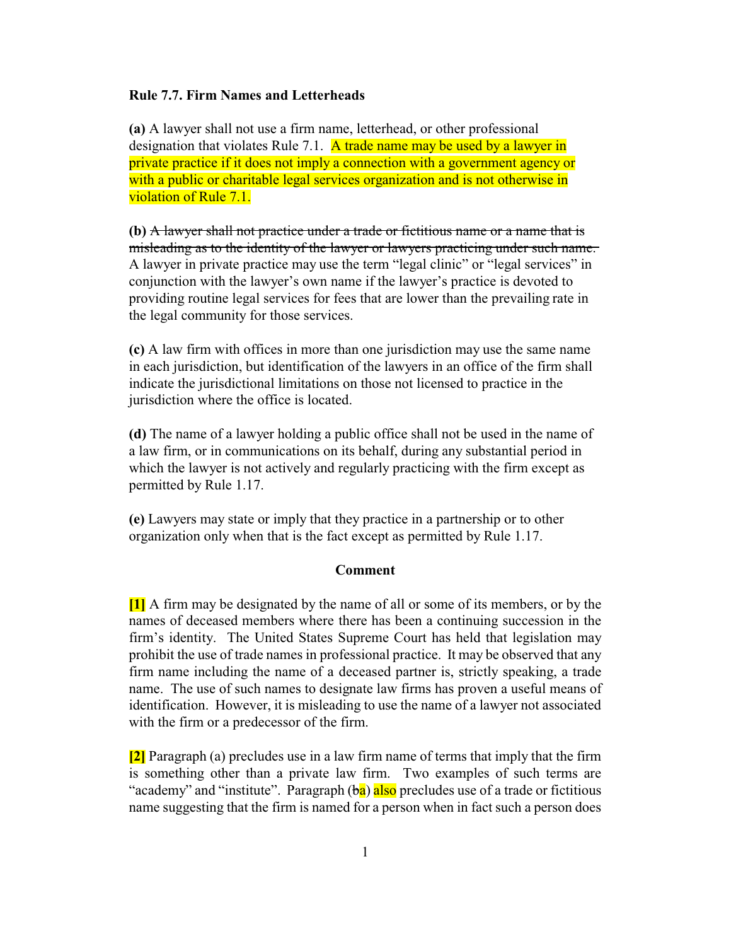## **Rule 7.7. Firm Names and Letterheads**

**(a)** A lawyer shall not use a firm name, letterhead, or other professional designation that violates Rule 7.1. A trade name may be used by a lawyer in private practice if it does not imply a connection with a government agency or with a public or charitable legal services organization and is not otherwise in violation of Rule 7.1.

**(b)** A lawyer shall not practice under a trade or fictitious name or a name that is misleading as to the identity of the lawyer or lawyers practicing under such name. A lawyer in private practice may use the term "legal clinic" or "legal services" in conjunction with the lawyer's own name if the lawyer's practice is devoted to providing routine legal services for fees that are lower than the prevailing rate in the legal community for those services.

**(c)** A law firm with offices in more than one jurisdiction may use the same name in each jurisdiction, but identification of the lawyers in an office of the firm shall indicate the jurisdictional limitations on those not licensed to practice in the jurisdiction where the office is located.

**(d)** The name of a lawyer holding a public office shall not be used in the name of a law firm, or in communications on its behalf, during any substantial period in which the lawyer is not actively and regularly practicing with the firm except as permitted by Rule 1.17.

**(e)** Lawyers may state or imply that they practice in a partnership or to other organization only when that is the fact except as permitted by Rule 1.17.

## **Comment**

**[1]** A firm may be designated by the name of all or some of its members, or by the names of deceased members where there has been a continuing succession in the firm's identity. The United States Supreme Court has held that legislation may prohibit the use of trade names in professional practice. It may be observed that any firm name including the name of a deceased partner is, strictly speaking, a trade name. The use of such names to designate law firms has proven a useful means of identification. However, it is misleading to use the name of a lawyer not associated with the firm or a predecessor of the firm.

**[2]** Paragraph (a) precludes use in a law firm name of terms that imply that the firm is something other than a private law firm. Two examples of such terms are "academy" and "institute". Paragraph (ba) also precludes use of a trade or fictitious name suggesting that the firm is named for a person when in fact such a person does